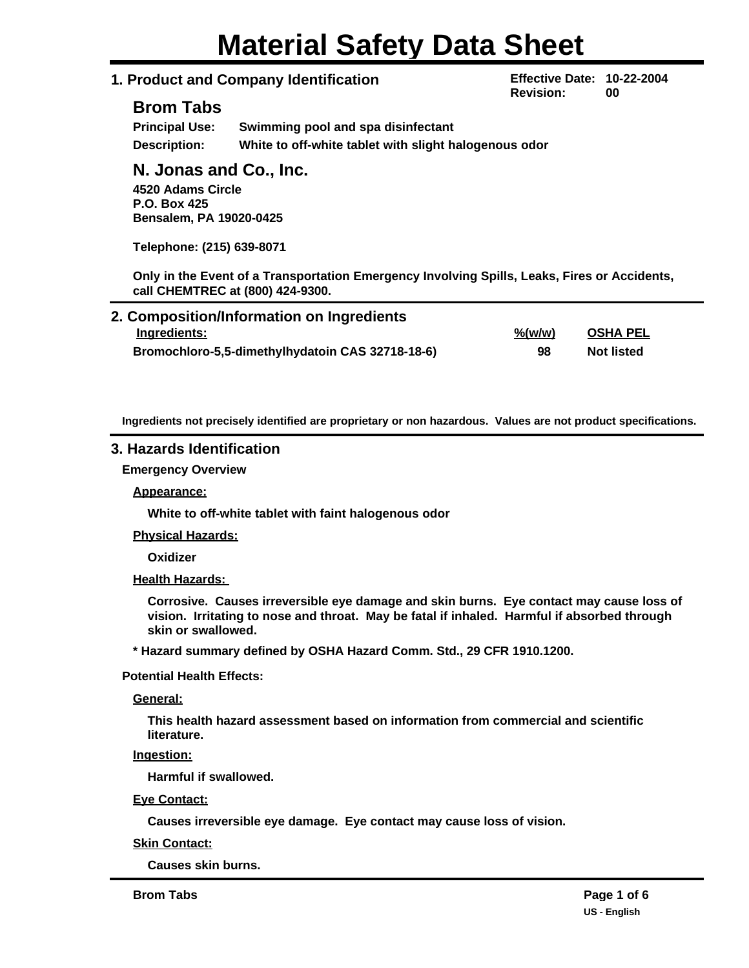# **Material Safety Data Sheet**

## **1. Product and Company Identification**

**Effective Date: 10-22-2004 Revision: 00**

## **Brom Tabs**

| <b>Principal Use:</b> | Swimming pool and spa disinfectant                    |
|-----------------------|-------------------------------------------------------|
| <b>Description:</b>   | White to off-white tablet with slight halogenous odor |

## **N. Jonas and Co., Inc.**

**4520 Adams Circle P.O. Box 425 Bensalem, PA 19020-0425**

**Telephone: (215) 639-8071**

**Only in the Event of a Transportation Emergency Involving Spills, Leaks, Fires or Accidents, call CHEMTREC at (800) 424-9300.**

| 2. Composition/Information on Ingredients        |                     |                   |  |
|--------------------------------------------------|---------------------|-------------------|--|
| Ingredients:                                     | $\frac{9}{6}$ (w/w) | <b>OSHA PEL</b>   |  |
| Bromochloro-5,5-dimethylhydatoin CAS 32718-18-6) | 98                  | <b>Not listed</b> |  |

**Ingredients not precisely identified are proprietary or non hazardous. Values are not product specifications.**

## **3. Hazards Identification**

**Emergency Overview**

**Appearance:**

**White to off-white tablet with faint halogenous odor**

**Physical Hazards:**

**Oxidizer**

**Health Hazards:** 

**Corrosive. Causes irreversible eye damage and skin burns. Eye contact may cause loss of vision. Irritating to nose and throat. May be fatal if inhaled. Harmful if absorbed through skin or swallowed.**

**\* Hazard summary defined by OSHA Hazard Comm. Std., 29 CFR 1910.1200.**

**Potential Health Effects:**

**General:**

**This health hazard assessment based on information from commercial and scientific literature.**

**Ingestion:**

**Harmful if swallowed.**

**Eye Contact:**

**Causes irreversible eye damage. Eye contact may cause loss of vision.**

**Skin Contact:**

**Causes skin burns.**

**Brom Tabs Page 1 of 6**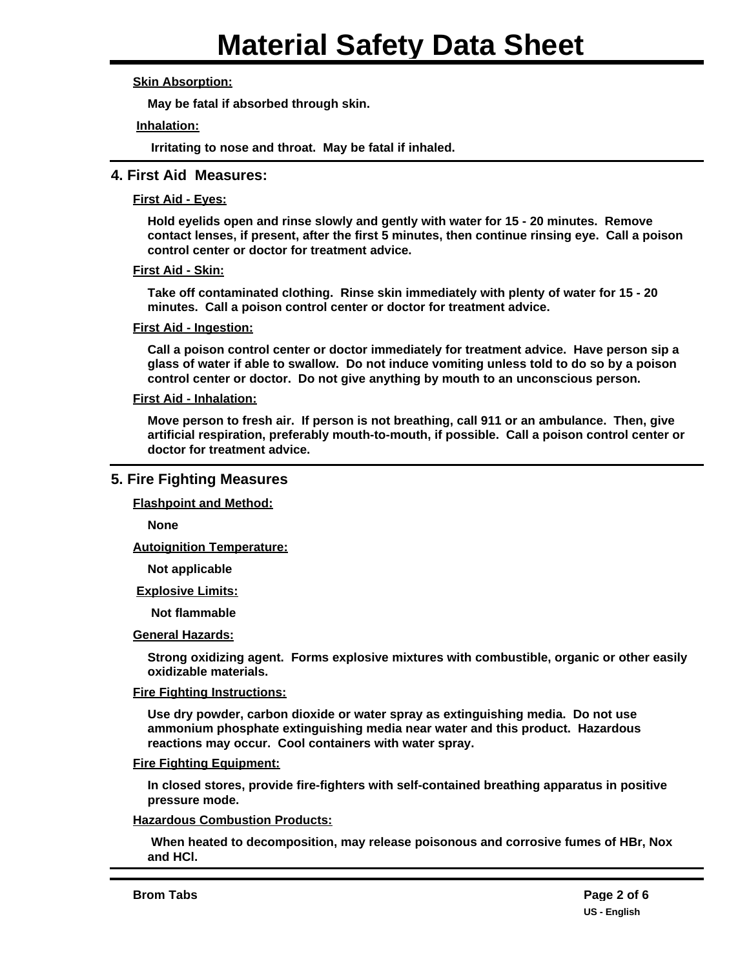## **Skin Absorption:**

**May be fatal if absorbed through skin.**

#### **Inhalation:**

**Irritating to nose and throat. May be fatal if inhaled.**

## **4. First Aid Measures:**

#### **First Aid - Eyes:**

**Hold eyelids open and rinse slowly and gently with water for 15 - 20 minutes. Remove contact lenses, if present, after the first 5 minutes, then continue rinsing eye. Call a poison control center or doctor for treatment advice.**

#### **First Aid - Skin:**

**Take off contaminated clothing. Rinse skin immediately with plenty of water for 15 - 20 minutes. Call a poison control center or doctor for treatment advice.**

#### **First Aid - Ingestion:**

**Call a poison control center or doctor immediately for treatment advice. Have person sip a glass of water if able to swallow. Do not induce vomiting unless told to do so by a poison control center or doctor. Do not give anything by mouth to an unconscious person.**

#### **First Aid - Inhalation:**

**Move person to fresh air. If person is not breathing, call 911 or an ambulance. Then, give artificial respiration, preferably mouth-to-mouth, if possible. Call a poison control center or doctor for treatment advice.**

## **5. Fire Fighting Measures**

**Flashpoint and Method:**

**None**

**Autoignition Temperature:**

**Not applicable**

#### **Explosive Limits:**

**Not flammable**

#### **General Hazards:**

**Strong oxidizing agent. Forms explosive mixtures with combustible, organic or other easily oxidizable materials.**

#### **Fire Fighting Instructions:**

**Use dry powder, carbon dioxide or water spray as extinguishing media. Do not use ammonium phosphate extinguishing media near water and this product. Hazardous reactions may occur. Cool containers with water spray.**

#### **Fire Fighting Equipment:**

**In closed stores, provide fire-fighters with self-contained breathing apparatus in positive pressure mode.**

#### **Hazardous Combustion Products:**

 **When heated to decomposition, may release poisonous and corrosive fumes of HBr, Nox and HCl.**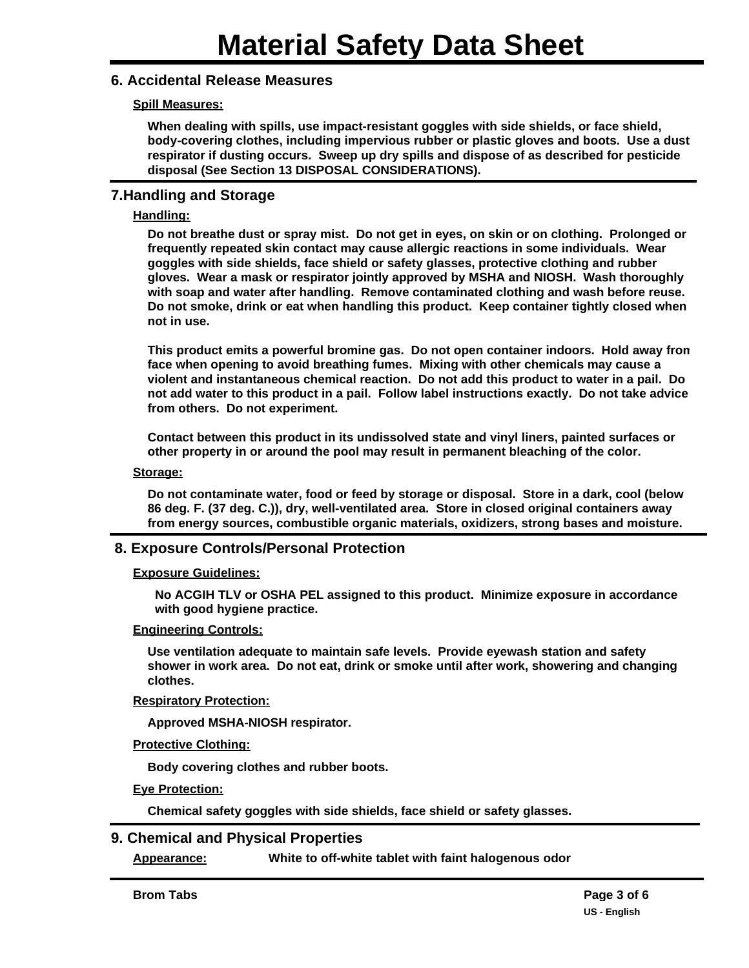## **6. Accidental Release Measures**

## **Spill Measures:**

**When dealing with spills, use impact-resistant goggles with side shields, or face shield, body-covering clothes, including impervious rubber or plastic gloves and boots. Use a dust respirator if dusting occurs. Sweep up dry spills and dispose of as described for pesticide disposal (See Section 13 DISPOSAL CONSIDERATIONS).**

## **7.Handling and Storage**

#### **Handling:**

**Do not breathe dust or spray mist. Do not get in eyes, on skin or on clothing. Prolonged or frequently repeated skin contact may cause allergic reactions in some individuals. Wear goggles with side shields, face shield or safety glasses, protective clothing and rubber gloves. Wear a mask or respirator jointly approved by MSHA and NIOSH. Wash thoroughly with soap and water after handling. Remove contaminated clothing and wash before reuse. Do not smoke, drink or eat when handling this product. Keep container tightly closed when not in use.**

**This product emits a powerful bromine gas. Do not open container indoors. Hold away from face when opening to avoid breathing fumes. Mixing with other chemicals may cause a violent and instantaneous chemical reaction. Do not add this product to water in a pail. Do not add water to this product in a pail. Follow label instructions exactly. Do not take advice from others. Do not experiment.**

**Contact between this product in its undissolved state and vinyl liners, painted surfaces or other property in or around the pool may result in permanent bleaching of the color.**

#### **Storage:**

**Do not contaminate water, food or feed by storage or disposal. Store in a dark, cool (below 86 deg. F. (37 deg. C.)), dry, well-ventilated area. Store in closed original containers away from energy sources, combustible organic materials, oxidizers, strong bases and moisture.**

## **8. Exposure Controls/Personal Protection**

#### **Exposure Guidelines:**

**No ACGIH TLV or OSHA PEL assigned to this product. Minimize exposure in accordance with good hygiene practice.**

#### **Engineering Controls:**

**Use ventilation adequate to maintain safe levels. Provide eyewash station and safety shower in work area. Do not eat, drink or smoke until after work, showering and changing clothes.**

#### **Respiratory Protection:**

**Approved MSHA-NIOSH respirator.**

**Protective Clothing:**

**Body covering clothes and rubber boots.**

**Eye Protection:**

**Chemical safety goggles with side shields, face shield or safety glasses.**

## **9. Chemical and Physical Properties**

**Appearance: White to off-white tablet with faint halogenous odor**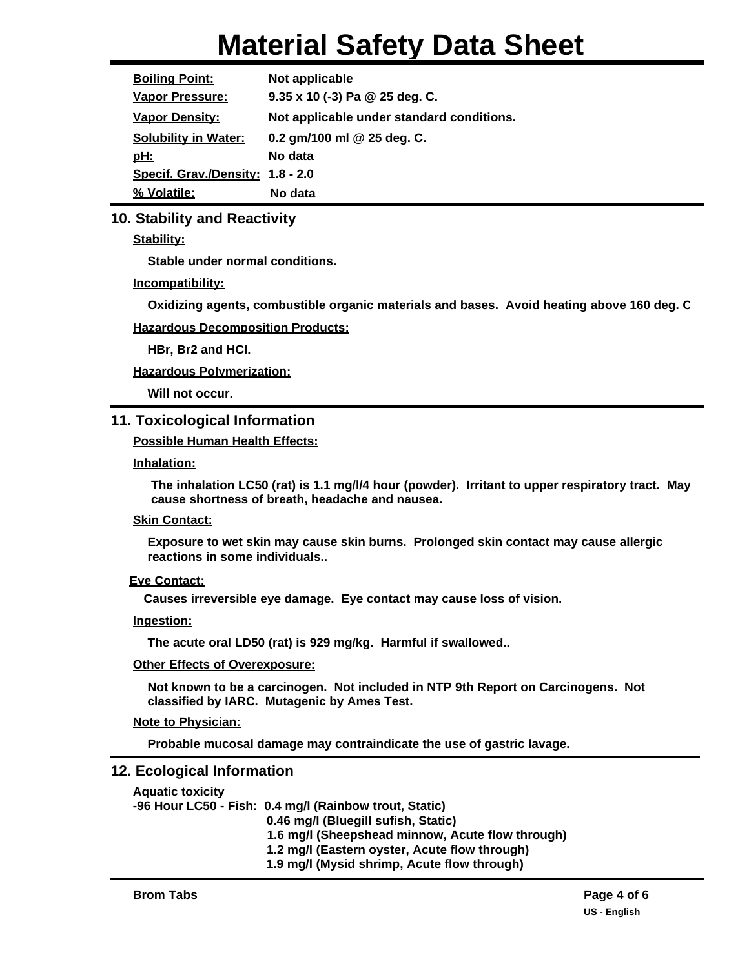# **Material Safety Data Sheet**

| <b>Boiling Point:</b>            | Not applicable                            |  |  |
|----------------------------------|-------------------------------------------|--|--|
| <b>Vapor Pressure:</b>           | $9.35 \times 10$ (-3) Pa @ 25 deg. C.     |  |  |
| <b>Vapor Density:</b>            | Not applicable under standard conditions. |  |  |
| <b>Solubility in Water:</b>      | 0.2 gm/100 ml @ 25 deg. C.                |  |  |
| <u>pH:</u>                       | No data                                   |  |  |
| Specif. Grav./Density: 1.8 - 2.0 |                                           |  |  |
| % Volatile:                      | No data                                   |  |  |

## **10. Stability and Reactivity**

**Stability:**

**Stable under normal conditions.**

## **Incompatibility:**

**Oxidizing agents, combustible organic materials and bases. Avoid heating above 160 deg. C.**

## **Hazardous Decomposition Products:**

**HBr, Br2 and HCl.**

**Hazardous Polymerization:**

**Will not occur.**

# **11. Toxicological Information**

## **Possible Human Health Effects:**

**Inhalation:**

**The inhalation LC50 (rat) is 1.1 mg/l/4 hour (powder). Irritant to upper respiratory tract. May cause shortness of breath, headache and nausea.**

## **Skin Contact:**

**Exposure to wet skin may cause skin burns. Prolonged skin contact may cause allergic reactions in some individuals..**

## **Eye Contact:**

**Causes irreversible eye damage. Eye contact may cause loss of vision.**

## **Ingestion:**

**The acute oral LD50 (rat) is 929 mg/kg. Harmful if swallowed..**

#### **Other Effects of Overexposure:**

**Not known to be a carcinogen. Not included in NTP 9th Report on Carcinogens. Not classified by IARC. Mutagenic by Ames Test.**

## **Note to Physician:**

**Probable mucosal damage may contraindicate the use of gastric lavage.**

## **12. Ecological Information**

| <b>Aquatic toxicity</b> |                                                        |
|-------------------------|--------------------------------------------------------|
|                         | -96 Hour LC50 - Fish: 0.4 mg/l (Rainbow trout, Static) |
|                         | 0.46 mg/l (Bluegill sufish, Static)                    |
|                         | 1.6 mg/l (Sheepshead minnow, Acute flow through)       |
|                         | 1.2 mg/l (Eastern oyster, Acute flow through)          |
|                         | 1.9 mg/l (Mysid shrimp, Acute flow through)            |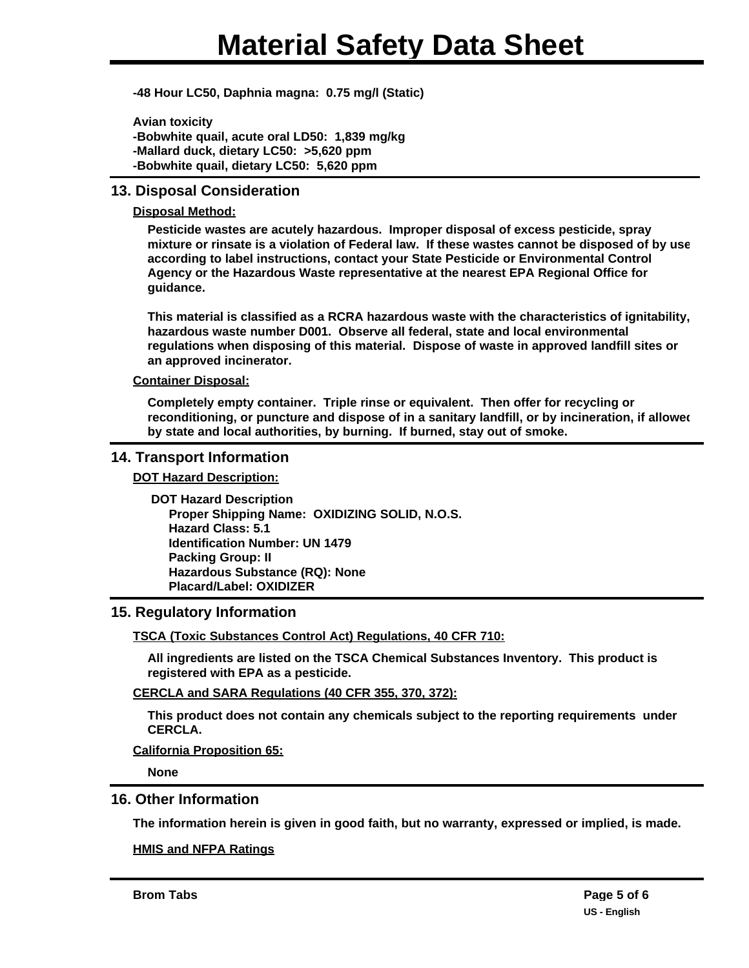**-48 Hour LC50, Daphnia magna: 0.75 mg/l (Static)**

**Avian toxicity -Bobwhite quail, acute oral LD50: 1,839 mg/kg -Mallard duck, dietary LC50: >5,620 ppm -Bobwhite quail, dietary LC50: 5,620 ppm**

## **13. Disposal Consideration**

## **Disposal Method:**

**Pesticide wastes are acutely hazardous. Improper disposal of excess pesticide, spray mixture or rinsate is a violation of Federal law. If these wastes cannot be disposed of by use according to label instructions, contact your State Pesticide or Environmental Control Agency or the Hazardous Waste representative at the nearest EPA Regional Office for guidance.**

**This material is classified as a RCRA hazardous waste with the characteristics of ignitability, hazardous waste number D001. Observe all federal, state and local environmental regulations when disposing of this material. Dispose of waste in approved landfill sites or an approved incinerator.**

#### **Container Disposal:**

**Completely empty container. Triple rinse or equivalent. Then offer for recycling or**  reconditioning, or puncture and dispose of in a sanitary landfill, or by incineration, if allowed **by state and local authorities, by burning. If burned, stay out of smoke.**

## **14. Transport Information**

**DOT Hazard Description:**

**DOT Hazard Description Proper Shipping Name: OXIDIZING SOLID, N.O.S. Hazard Class: 5.1 Identification Number: UN 1479 Packing Group: II Hazardous Substance (RQ): None Placard/Label: OXIDIZER**

## **15. Regulatory Information**

**TSCA (Toxic Substances Control Act) Regulations, 40 CFR 710:**

**All ingredients are listed on the TSCA Chemical Substances Inventory. This product is registered with EPA as a pesticide.**

#### **CERCLA and SARA Regulations (40 CFR 355, 370, 372):**

**This product does not contain any chemicals subject to the reporting requirements under CERCLA.**

**California Proposition 65:**

**None**

## **16. Other Information**

**The information herein is given in good faith, but no warranty, expressed or implied, is made.**

#### **HMIS and NFPA Ratings**